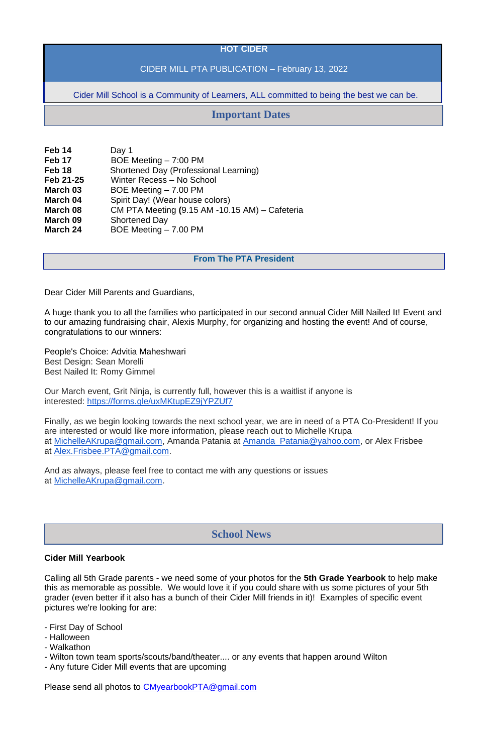#### **HOT CIDER**

# CIDER MILL PTA PUBLICATION – February 13, 2022

Cider Mill School is a Community of Learners, ALL committed to being the best we can be.

| Feb 14            | Day 1                                          |
|-------------------|------------------------------------------------|
| Feb <sub>17</sub> | BOE Meeting - 7:00 PM                          |
| Feb <sub>18</sub> | <b>Shortened Day (Professional Learning)</b>   |
| Feb 21-25         | Winter Recess - No School                      |
| March 03          | BOE Meeting - 7.00 PM                          |
| March 04          | Spirit Day! (Wear house colors)                |
| March 08          | CM PTA Meeting (9.15 AM -10.15 AM) - Cafeteria |
| March 09          | <b>Shortened Day</b>                           |
| <b>March 24</b>   | BOE Meeting - 7.00 PM                          |

#### **From The PTA President**

Dear Cider Mill Parents and Guardians,

A huge thank you to all the families who participated in our second annual Cider Mill Nailed It! Event and to our amazing fundraising chair, Alexis Murphy, for organizing and hosting the event! And of course, congratulations to our winners:

People's Choice: Advitia Maheshwari Best Design: Sean Morelli Best Nailed It: Romy Gimmel

Our March event, Grit Ninja, is currently full, however this is a waitlist if anyone is interested: <https://forms.gle/uxMKtupEZ9jYPZUf7>

Finally, as we begin looking towards the next school year, we are in need of a PTA Co-President! If you are interested or would like more information, please reach out to Michelle Krupa at [MichelleAKrupa@gmail.com,](mailto:MichelleAKrupa@gmail.com) Amanda Patania at [Amanda\\_Patania@yahoo.com,](mailto:Amanda_Patania@yahoo.com) or Alex Frisbee at [Alex.Frisbee.PTA@gmail.com.](mailto:Alex.Frisbee.PTA@gmail.com)

And as always, please feel free to contact me with any questions or issues at [MichelleAKrupa@gmail.com.](mailto:MichelleAKrupa@gmail.com)

#### **Cider Mill Yearbook**

Calling all 5th Grade parents - we need some of your photos for the **5th Grade Yearbook** to help make this as memorable as possible. We would love it if you could share with us some pictures of your 5th grader (even better if it also has a bunch of their Cider Mill friends in it)! Examples of specific event pictures we're looking for are:

- First Day of School
- Halloween
- Walkathon
- Wilton town team sports/scouts/band/theater.... or any events that happen around Wilton
- Any future Cider Mill events that are upcoming

Please send all photos to [CMyearbookPTA@gmail.com](mailto:CMyearbookPTA@gmail.com)

# **Important Dates**

# **School News**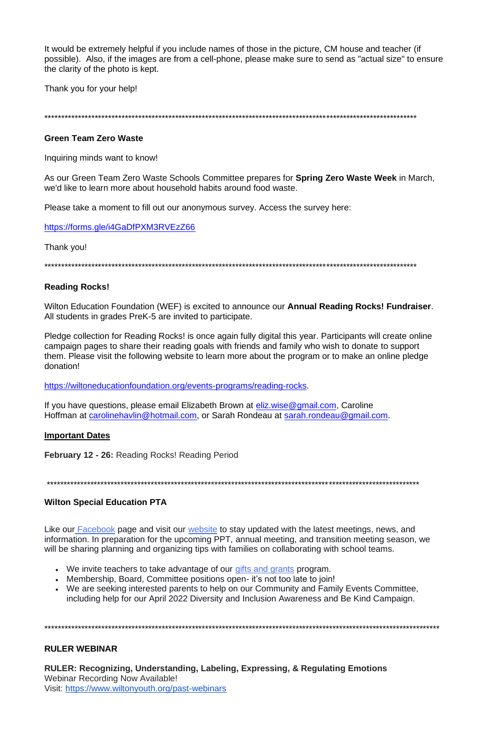It would be extremely helpful if you include names of those in the picture, CM house and teacher (if possible). Also, if the images are from a cell-phone, please make sure to send as "actual size" to ensure the clarity of the photo is kept.

Thank you for your help!

#### **Green Team Zero Waste**

Inquiring minds want to know!

As our Green Team Zero Waste Schools Committee prepares for **Spring Zero Waste Week** in March, we'd like to learn more about household habits around food waste.

Please take a moment to fill out our anonymous survey. Access the survey here:

https://forms.gle/i4GaDfPXM3RVEzZ66

Thank you!

## **Reading Rocks!**

Wilton Education Foundation (WEF) is excited to announce our **Annual Reading Rocks! Fundraiser**. All students in grades PreK-5 are invited to participate.

Pledge collection for Reading Rocks! is once again fully digital this year. Participants will create online campaign pages to share their reading goals with friends and family who wish to donate to support them. Please visit the following website to learn more about the program or to make an online pledge donation!

https://wiltoneducationfoundation.org/events-programs/reading-rocks.

If you have questions, please email Elizabeth Brown at eliz.wise@gmail.com, Caroline Hoffman at carolinehavlin@hotmail.com, or Sarah Rondeau at sarah.rondeau@gmail.com.

#### **Important Dates**

February 12 - 26: Reading Rocks! Reading Period

## **Wilton Special Education PTA**

Like our Facebook page and visit our website to stay updated with the latest meetings, news, and information. In preparation for the upcoming PPT, annual meeting, and transition meeting season, we will be sharing planning and organizing tips with families on collaborating with school teams.

- We invite teachers to take advantage of our gifts and grants program.
- Membership, Board, Committee positions open- it's not too late to join!
- We are seeking interested parents to help on our Community and Family Events Committee, including help for our April 2022 Diversity and Inclusion Awareness and Be Kind Campaign.

#### **RULER WEBINAR**

RULER: Recognizing, Understanding, Labeling, Expressing, & Regulating Emotions **Webinar Recording Now Available!** Visit: https://www.wiltonyouth.org/past-webinars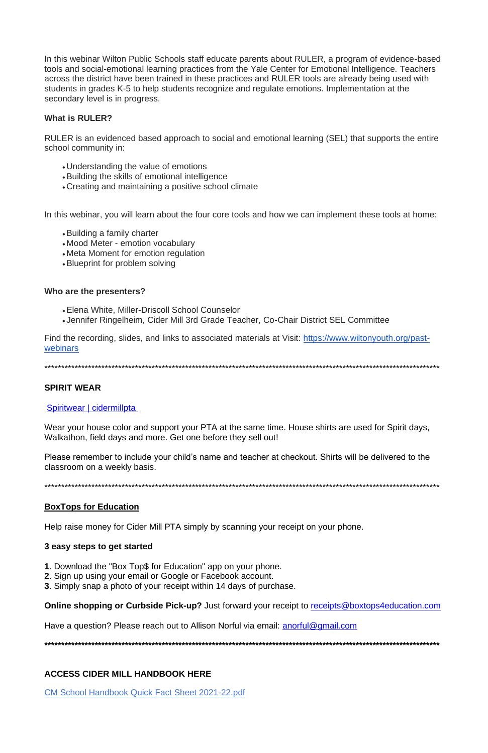In this webinar Wilton Public Schools staff educate parents about RULER, a program of evidence-based tools and social-emotional learning practices from the Yale Center for Emotional Intelligence. Teachers across the district have been trained in these practices and RULER tools are already being used with students in grades K-5 to help students recognize and regulate emotions. Implementation at the secondary level is in progress.

#### What is RULER?

RULER is an evidenced based approach to social and emotional learning (SEL) that supports the entire school community in:

- Understanding the value of emotions
- Building the skills of emotional intelligence
- Creating and maintaining a positive school climate

In this webinar, you will learn about the four core tools and how we can implement these tools at home:

- Building a family charter
- Mood Meter emotion vocabulary
- Meta Moment for emotion regulation
- Blueprint for problem solving

#### Who are the presenters?

- Elena White, Miller-Driscoll School Counselor
- Jennifer Ringelheim, Cider Mill 3rd Grade Teacher, Co-Chair District SEL Committee

Find the recording, slides, and links to associated materials at Visit: https://www.wiltonyouth.org/pastwebinars

## **SPIRIT WEAR**

## Spiritwear | cidermillpta

Wear your house color and support your PTA at the same time. House shirts are used for Spirit days, Walkathon, field days and more. Get one before they sell out!

Please remember to include your child's name and teacher at checkout. Shirts will be delivered to the classroom on a weekly basis.

## **BoxTops for Education**

Help raise money for Cider Mill PTA simply by scanning your receipt on your phone.

#### 3 easy steps to get started

- 1. Download the "Box Top\$ for Education" app on your phone.
- 2. Sign up using your email or Google or Facebook account.
- 3. Simply snap a photo of your receipt within 14 days of purchase.

**Online shopping or Curbside Pick-up?** Just forward your receipt to receipts@boxtops4education.com

Have a question? Please reach out to Allison Norful via email: **anorful@gmail.com** 

#### **ACCESS CIDER MILL HANDBOOK HERE**

**CM School Handbook Quick Fact Sheet 2021-22.pdf**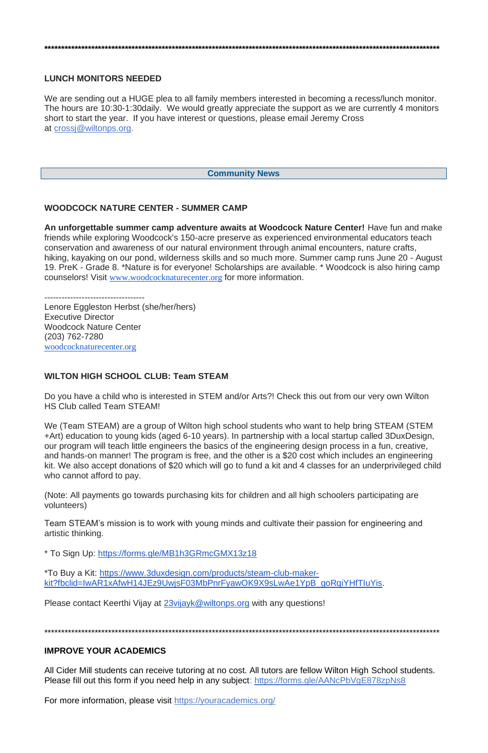#### **\*\*\*\*\*\*\*\*\*\*\*\*\*\*\*\*\*\*\*\*\*\*\*\*\*\*\*\*\*\*\*\*\*\*\*\*\*\*\*\*\*\*\*\*\*\*\*\*\*\*\*\*\*\*\*\*\*\*\*\*\*\*\*\*\*\*\*\*\*\*\*\*\*\*\*\*\*\*\*\*\*\*\*\*\*\*\*\*\*\*\*\*\*\*\*\*\*\*\*\*\*\*\*\*\*\*\*\*\*\*\*\*\*\*\*\*\*\***

#### **LUNCH MONITORS NEEDED**

We are sending out a HUGE plea to all family members interested in becoming a recess/lunch monitor. The hours are 10:30-1:30daily. We would greatly appreciate the support as we are currently 4 monitors short to start the year. If you have interest or questions, please email Jeremy Cross at [crossj@wiltonps.org.](mailto:crossj@wiltonps.org)

#### **Community News**

#### **WOODCOCK NATURE CENTER - SUMMER CAMP**

**An unforgettable summer camp adventure awaits at Woodcock Nature Center!** Have fun and make friends while exploring Woodcock's 150-acre preserve as experienced environmental educators teach conservation and awareness of our natural environment through animal encounters, nature crafts, hiking, kayaking on our pond, wilderness skills and so much more. Summer camp runs June 20 - August 19. PreK - Grade 8. \*Nature is for everyone! Scholarships are available. \* Woodcock is also hiring camp counselors! Visit [www.woodcocknaturecenter.org](http://www.woodcocknaturecenter.org/) for more information.

----------------------------------- Lenore Eggleston Herbst (she/her/hers) Executive Director Woodcock Nature Center (203) 762-7280 [woodcocknaturecenter.org](http://www.woodcocknaturecenter.org/)

#### **WILTON HIGH SCHOOL CLUB: Team STEAM**

All Cider Mill students can receive tutoring at no cost. All tutors are fellow Wilton High School students. Please fill out this form if you need help in any subject: <https://forms.gle/AANcPbVgE878zpNs8>

Do you have a child who is interested in STEM and/or Arts?! Check this out from our very own Wilton HS Club called Team STEAM!

We (Team STEAM) are a group of Wilton high school students who want to help bring STEAM (STEM +Art) education to young kids (aged 6-10 years). In partnership with a local startup called 3DuxDesign, our program will teach little engineers the basics of the engineering design process in a fun, creative, and hands-on manner! The program is free, and the other is a \$20 cost which includes an engineering kit. We also accept donations of \$20 which will go to fund a kit and 4 classes for an underprivileged child who cannot afford to pay.

(Note: All payments go towards purchasing kits for children and all high schoolers participating are volunteers)

Team STEAM's mission is to work with young minds and cultivate their passion for engineering and artistic thinking.

\* To Sign Up: <https://forms.gle/MB1h3GRmcGMX13z18>

\*To Buy a Kit: [https://www.3duxdesign.com/products/steam-club-maker](https://www.3duxdesign.com/products/steam-club-maker-kit?fbclid=IwAR1xAfwH14JEz9UwjsF03MbPnrFyawOK9X9sLwAe1YpB_goRqiYHfTIuYis)[kit?fbclid=IwAR1xAfwH14JEz9UwjsF03MbPnrFyawOK9X9sLwAe1YpB\\_goRqiYHfTIuYis.](https://www.3duxdesign.com/products/steam-club-maker-kit?fbclid=IwAR1xAfwH14JEz9UwjsF03MbPnrFyawOK9X9sLwAe1YpB_goRqiYHfTIuYis)

Please contact Keerthi Vijay at [23vijayk@wiltonps.org](mailto:23vijayk@wiltonps.org) with any questions!

\*\*\*\*\*\*\*\*\*\*\*\*\*\*\*\*\*\*\*\*\*\*\*\*\*\*\*\*\*\*\*\*\*\*\*\*\*\*\*\*\*\*\*\*\*\*\*\*\*\*\*\*\*\*\*\*\*\*\*\*\*\*\*\*\*\*\*\*\*\*\*\*\*\*\*\*\*\*\*\*\*\*\*\*\*\*\*\*\*\*\*\*\*\*\*\*\*\*\*\*\*\*\*\*\*\*\*\*\*\*\*\*\*\*\*\*\*\*

#### **IMPROVE YOUR ACADEMICS**

For more information, please visit <https://youracademics.org/>